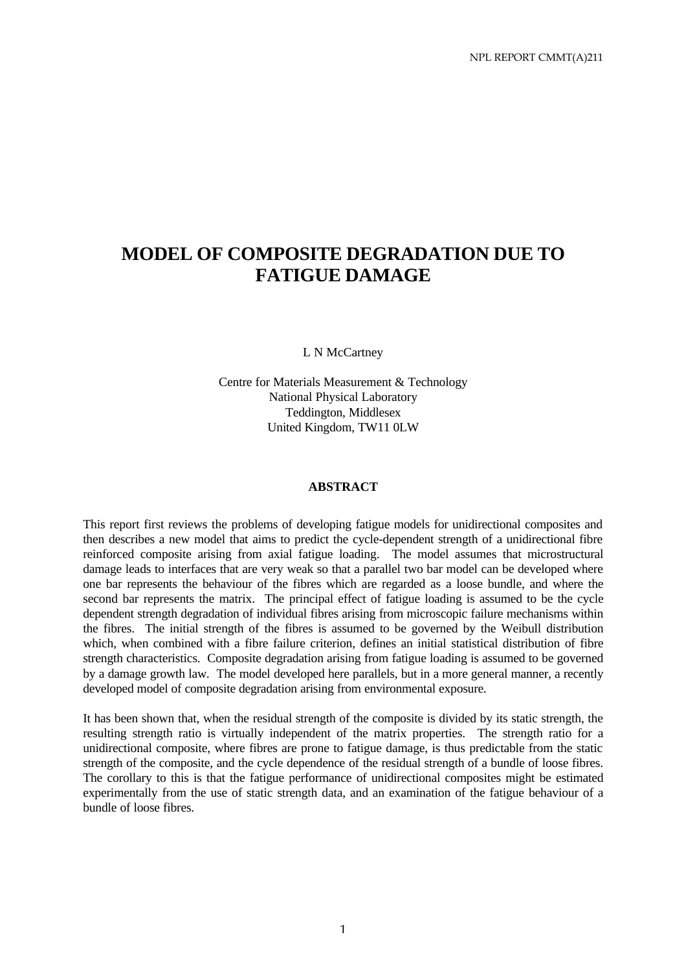# **MODEL OF COMPOSITE DEGRADATION DUE TO FATIGUE DAMAGE**

L N McCartney

Centre for Materials Measurement & Technology National Physical Laboratory Teddington, Middlesex United Kingdom, TW11 0LW

#### **ABSTRACT**

This report first reviews the problems of developing fatigue models for unidirectional composites and then describes a new model that aims to predict the cycle-dependent strength of a unidirectional fibre reinforced composite arising from axial fatigue loading. The model assumes that microstructural damage leads to interfaces that are very weak so that a parallel two bar model can be developed where one bar represents the behaviour of the fibres which are regarded as a loose bundle, and where the second bar represents the matrix. The principal effect of fatigue loading is assumed to be the cycle dependent strength degradation of individual fibres arising from microscopic failure mechanisms within the fibres. The initial strength of the fibres is assumed to be governed by the Weibull distribution which, when combined with a fibre failure criterion, defines an initial statistical distribution of fibre strength characteristics. Composite degradation arising from fatigue loading is assumed to be governed by a damage growth law. The model developed here parallels, but in a more general manner, a recently developed model of composite degradation arising from environmental exposure.

It has been shown that, when the residual strength of the composite is divided by its static strength, the resulting strength ratio is virtually independent of the matrix properties. The strength ratio for a unidirectional composite, where fibres are prone to fatigue damage, is thus predictable from the static strength of the composite, and the cycle dependence of the residual strength of a bundle of loose fibres. The corollary to this is that the fatigue performance of unidirectional composites might be estimated experimentally from the use of static strength data, and an examination of the fatigue behaviour of a bundle of loose fibres.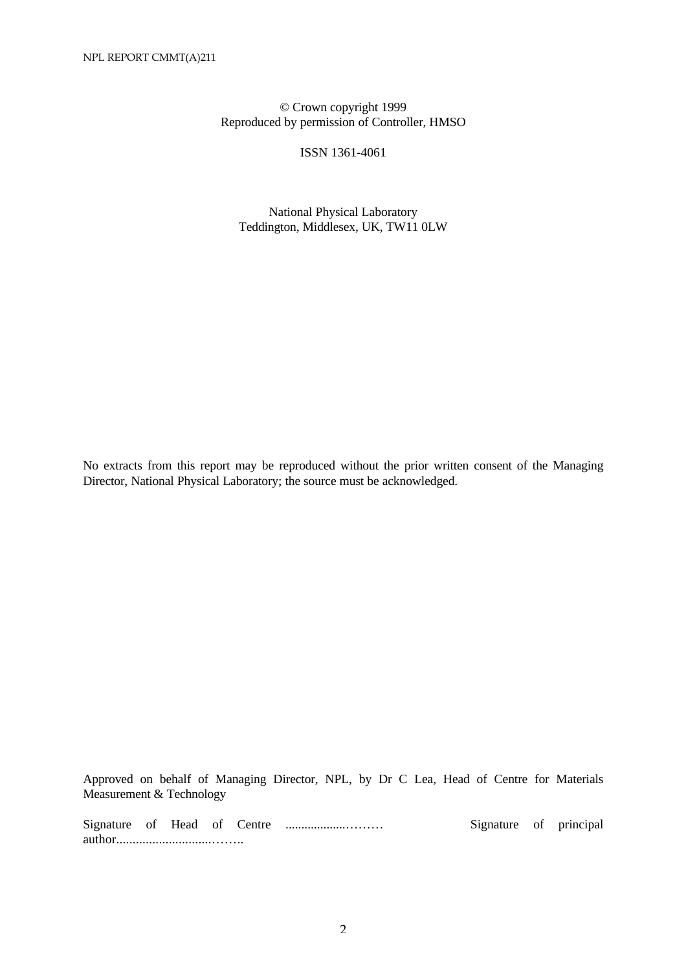# © Crown copyright 1999 Reproduced by permission of Controller, HMSO

ISSN 1361-4061

National Physical Laboratory Teddington, Middlesex, UK, TW11 0LW

No extracts from this report may be reproduced without the prior written consent of the Managing Director, National Physical Laboratory; the source must be acknowledged.

Approved on behalf of Managing Director, NPL, by Dr C Lea, Head of Centre for Materials Measurement & Technology

Signature of Head of Centre ...................……… Signature of principal author.............................……..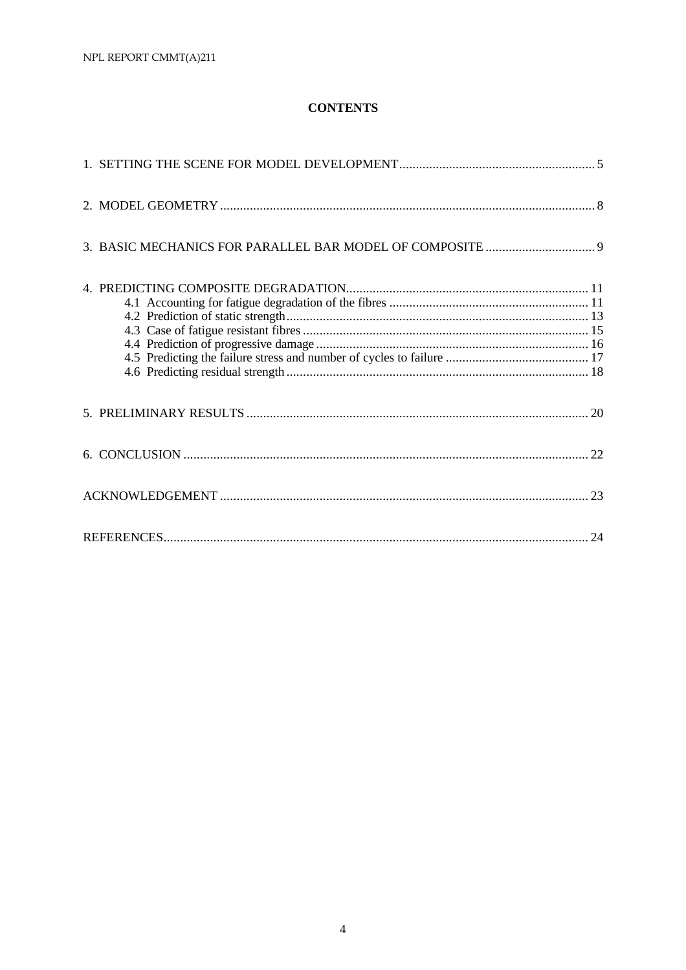# **CONTENTS**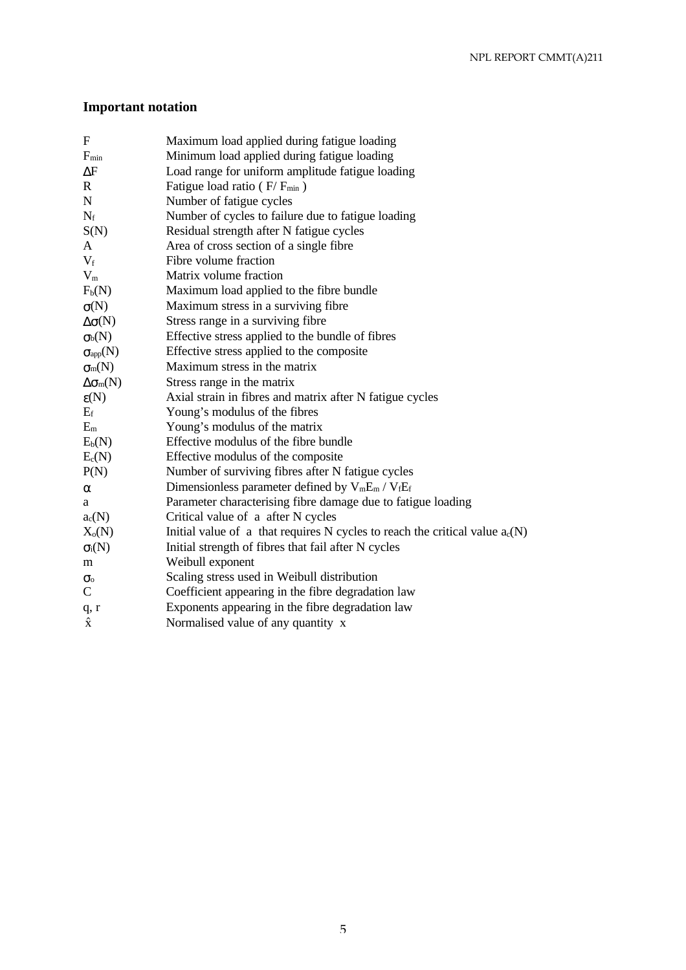# **Important notation**

| $\mathbf{F}$                     | Maximum load applied during fatigue loading                                    |
|----------------------------------|--------------------------------------------------------------------------------|
| $F_{min}$                        | Minimum load applied during fatigue loading                                    |
| $\Delta F$                       | Load range for uniform amplitude fatigue loading                               |
| $\mathbf R$                      | Fatigue load ratio ( $F/F_{min}$ )                                             |
| ${\bf N}$                        | Number of fatigue cycles                                                       |
| $N_f$                            | Number of cycles to failure due to fatigue loading                             |
| S(N)                             | Residual strength after N fatigue cycles                                       |
| A                                | Area of cross section of a single fibre                                        |
| $V_f$                            | Fibre volume fraction                                                          |
| $V_m$                            | Matrix volume fraction                                                         |
| $F_b(N)$                         | Maximum load applied to the fibre bundle                                       |
| $\sigma(N)$                      | Maximum stress in a surviving fibre                                            |
| $\Delta \sigma(N)$               | Stress range in a surviving fibre                                              |
| $\sigma_{b}(N)$                  | Effective stress applied to the bundle of fibres                               |
| $\sigma_{\rm app}({\rm N})$      | Effective stress applied to the composite                                      |
| $\sigma_m(N)$                    | Maximum stress in the matrix                                                   |
| $\Delta \sigma$ <sub>m</sub> (N) | Stress range in the matrix                                                     |
| $\varepsilon(N)$                 | Axial strain in fibres and matrix after N fatigue cycles                       |
| $E_f$                            | Young's modulus of the fibres                                                  |
| $E_m$                            | Young's modulus of the matrix                                                  |
| $E_b(N)$                         | Effective modulus of the fibre bundle                                          |
| $E_c(N)$                         | Effective modulus of the composite                                             |
| P(N)                             | Number of surviving fibres after N fatigue cycles                              |
| $\alpha$                         | Dimensionless parameter defined by $V_mE_m / V_fE_f$                           |
| а                                | Parameter characterising fibre damage due to fatigue loading                   |
| $a_c(N)$                         | Critical value of a after N cycles                                             |
| $X_o(N)$                         | Initial value of a that requires N cycles to reach the critical value $a_c(N)$ |
| $\sigma_i(N)$                    | Initial strength of fibres that fail after N cycles                            |
| m                                | Weibull exponent                                                               |
| $\sigma_{o}$                     | Scaling stress used in Weibull distribution                                    |
| $\mathbf C$                      | Coefficient appearing in the fibre degradation law                             |
| q, r                             | Exponents appearing in the fibre degradation law                               |
| $\hat{\mathbf{x}}$               | Normalised value of any quantity x                                             |
|                                  |                                                                                |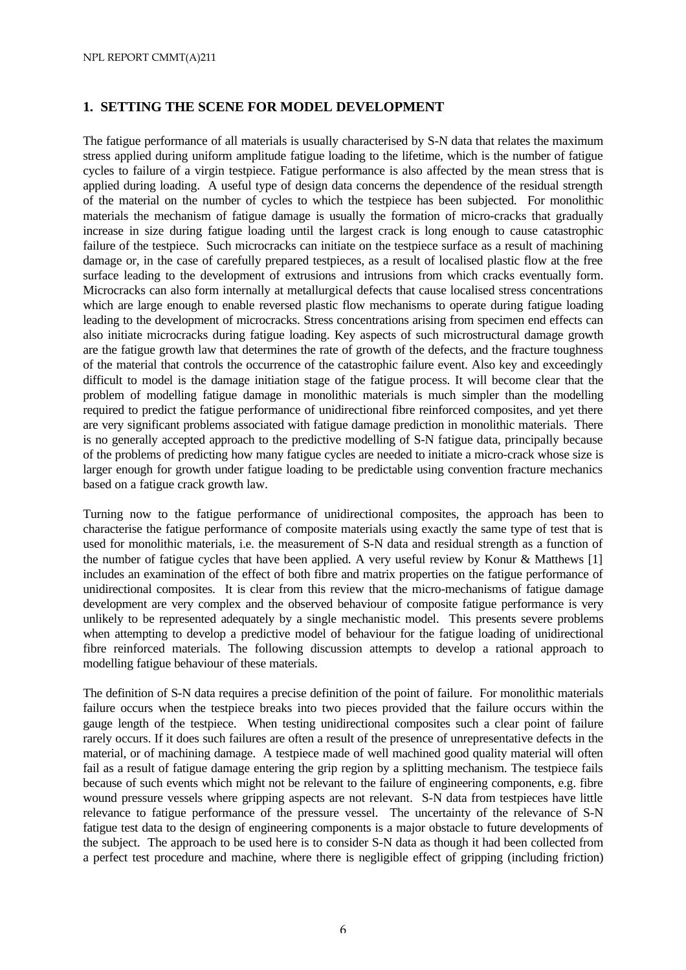# **1. SETTING THE SCENE FOR MODEL DEVELOPMENT**

The fatigue performance of all materials is usually characterised by S-N data that relates the maximum stress applied during uniform amplitude fatigue loading to the lifetime, which is the number of fatigue cycles to failure of a virgin testpiece. Fatigue performance is also affected by the mean stress that is applied during loading. A useful type of design data concerns the dependence of the residual strength of the material on the number of cycles to which the testpiece has been subjected. For monolithic materials the mechanism of fatigue damage is usually the formation of micro-cracks that gradually increase in size during fatigue loading until the largest crack is long enough to cause catastrophic failure of the testpiece. Such microcracks can initiate on the testpiece surface as a result of machining damage or, in the case of carefully prepared testpieces, as a result of localised plastic flow at the free surface leading to the development of extrusions and intrusions from which cracks eventually form. Microcracks can also form internally at metallurgical defects that cause localised stress concentrations which are large enough to enable reversed plastic flow mechanisms to operate during fatigue loading leading to the development of microcracks. Stress concentrations arising from specimen end effects can also initiate microcracks during fatigue loading. Key aspects of such microstructural damage growth are the fatigue growth law that determines the rate of growth of the defects, and the fracture toughness of the material that controls the occurrence of the catastrophic failure event. Also key and exceedingly difficult to model is the damage initiation stage of the fatigue process. It will become clear that the problem of modelling fatigue damage in monolithic materials is much simpler than the modelling required to predict the fatigue performance of unidirectional fibre reinforced composites, and yet there are very significant problems associated with fatigue damage prediction in monolithic materials. There is no generally accepted approach to the predictive modelling of S-N fatigue data, principally because of the problems of predicting how many fatigue cycles are needed to initiate a micro-crack whose size is larger enough for growth under fatigue loading to be predictable using convention fracture mechanics based on a fatigue crack growth law.

Turning now to the fatigue performance of unidirectional composites, the approach has been to characterise the fatigue performance of composite materials using exactly the same type of test that is used for monolithic materials, i.e. the measurement of S-N data and residual strength as a function of the number of fatigue cycles that have been applied. A very useful review by Konur & Matthews [1] includes an examination of the effect of both fibre and matrix properties on the fatigue performance of unidirectional composites. It is clear from this review that the micro-mechanisms of fatigue damage development are very complex and the observed behaviour of composite fatigue performance is very unlikely to be represented adequately by a single mechanistic model. This presents severe problems when attempting to develop a predictive model of behaviour for the fatigue loading of unidirectional fibre reinforced materials. The following discussion attempts to develop a rational approach to modelling fatigue behaviour of these materials.

The definition of S-N data requires a precise definition of the point of failure. For monolithic materials failure occurs when the testpiece breaks into two pieces provided that the failure occurs within the gauge length of the testpiece. When testing unidirectional composites such a clear point of failure rarely occurs. If it does such failures are often a result of the presence of unrepresentative defects in the material, or of machining damage. A testpiece made of well machined good quality material will often fail as a result of fatigue damage entering the grip region by a splitting mechanism. The testpiece fails because of such events which might not be relevant to the failure of engineering components, e.g. fibre wound pressure vessels where gripping aspects are not relevant. S-N data from testpieces have little relevance to fatigue performance of the pressure vessel. The uncertainty of the relevance of S-N fatigue test data to the design of engineering components is a major obstacle to future developments of the subject. The approach to be used here is to consider S-N data as though it had been collected from a perfect test procedure and machine, where there is negligible effect of gripping (including friction)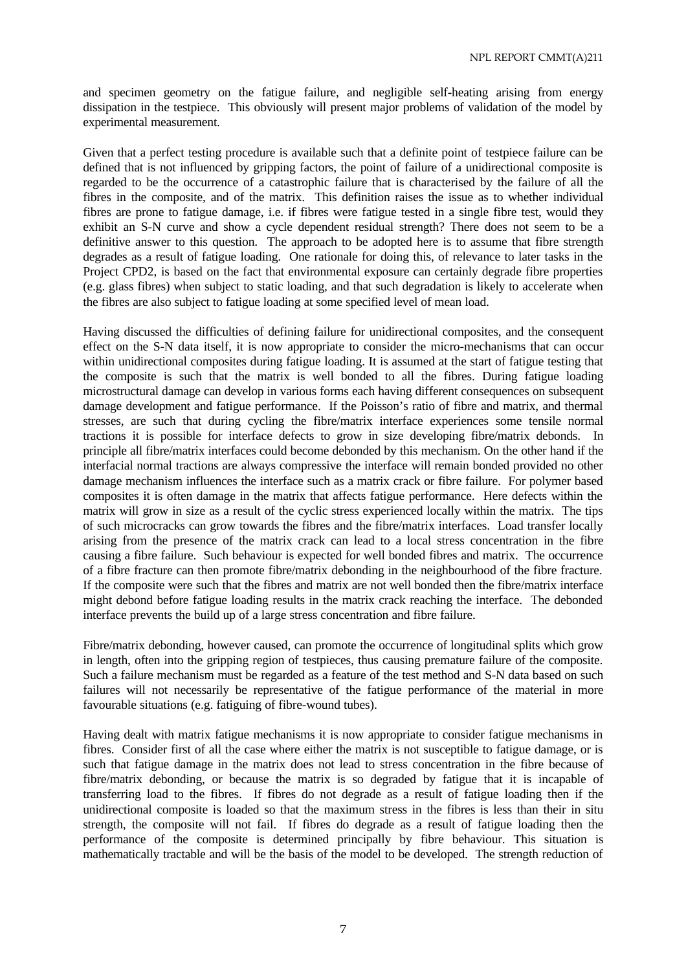and specimen geometry on the fatigue failure, and negligible self-heating arising from energy dissipation in the testpiece. This obviously will present major problems of validation of the model by experimental measurement.

Given that a perfect testing procedure is available such that a definite point of testpiece failure can be defined that is not influenced by gripping factors, the point of failure of a unidirectional composite is regarded to be the occurrence of a catastrophic failure that is characterised by the failure of all the fibres in the composite, and of the matrix. This definition raises the issue as to whether individual fibres are prone to fatigue damage, i.e. if fibres were fatigue tested in a single fibre test, would they exhibit an S-N curve and show a cycle dependent residual strength? There does not seem to be a definitive answer to this question. The approach to be adopted here is to assume that fibre strength degrades as a result of fatigue loading. One rationale for doing this, of relevance to later tasks in the Project CPD2, is based on the fact that environmental exposure can certainly degrade fibre properties (e.g. glass fibres) when subject to static loading, and that such degradation is likely to accelerate when the fibres are also subject to fatigue loading at some specified level of mean load.

Having discussed the difficulties of defining failure for unidirectional composites, and the consequent effect on the S-N data itself, it is now appropriate to consider the micro-mechanisms that can occur within unidirectional composites during fatigue loading. It is assumed at the start of fatigue testing that the composite is such that the matrix is well bonded to all the fibres. During fatigue loading microstructural damage can develop in various forms each having different consequences on subsequent damage development and fatigue performance. If the Poisson's ratio of fibre and matrix, and thermal stresses, are such that during cycling the fibre/matrix interface experiences some tensile normal tractions it is possible for interface defects to grow in size developing fibre/matrix debonds. In principle all fibre/matrix interfaces could become debonded by this mechanism. On the other hand if the interfacial normal tractions are always compressive the interface will remain bonded provided no other damage mechanism influences the interface such as a matrix crack or fibre failure. For polymer based composites it is often damage in the matrix that affects fatigue performance. Here defects within the matrix will grow in size as a result of the cyclic stress experienced locally within the matrix. The tips of such microcracks can grow towards the fibres and the fibre/matrix interfaces. Load transfer locally arising from the presence of the matrix crack can lead to a local stress concentration in the fibre causing a fibre failure. Such behaviour is expected for well bonded fibres and matrix. The occurrence of a fibre fracture can then promote fibre/matrix debonding in the neighbourhood of the fibre fracture. If the composite were such that the fibres and matrix are not well bonded then the fibre/matrix interface might debond before fatigue loading results in the matrix crack reaching the interface. The debonded interface prevents the build up of a large stress concentration and fibre failure.

Fibre/matrix debonding, however caused, can promote the occurrence of longitudinal splits which grow in length, often into the gripping region of testpieces, thus causing premature failure of the composite. Such a failure mechanism must be regarded as a feature of the test method and S-N data based on such failures will not necessarily be representative of the fatigue performance of the material in more favourable situations (e.g. fatiguing of fibre-wound tubes).

Having dealt with matrix fatigue mechanisms it is now appropriate to consider fatigue mechanisms in fibres. Consider first of all the case where either the matrix is not susceptible to fatigue damage, or is such that fatigue damage in the matrix does not lead to stress concentration in the fibre because of fibre/matrix debonding, or because the matrix is so degraded by fatigue that it is incapable of transferring load to the fibres. If fibres do not degrade as a result of fatigue loading then if the unidirectional composite is loaded so that the maximum stress in the fibres is less than their in situ strength, the composite will not fail. If fibres do degrade as a result of fatigue loading then the performance of the composite is determined principally by fibre behaviour. This situation is mathematically tractable and will be the basis of the model to be developed. The strength reduction of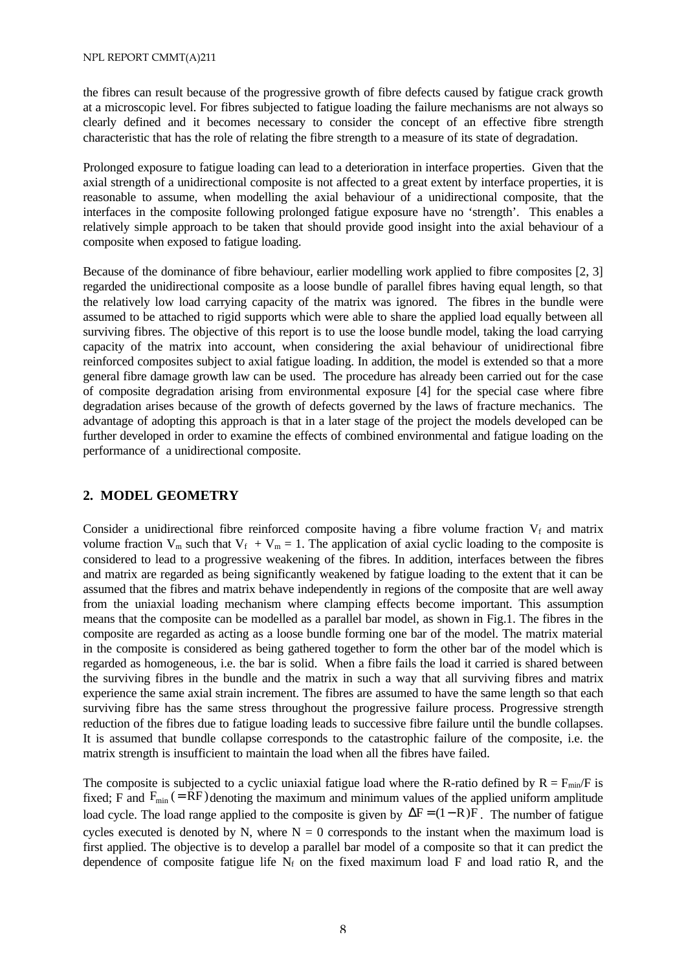the fibres can result because of the progressive growth of fibre defects caused by fatigue crack growth at a microscopic level. For fibres subjected to fatigue loading the failure mechanisms are not always so clearly defined and it becomes necessary to consider the concept of an effective fibre strength characteristic that has the role of relating the fibre strength to a measure of its state of degradation.

Prolonged exposure to fatigue loading can lead to a deterioration in interface properties. Given that the axial strength of a unidirectional composite is not affected to a great extent by interface properties, it is reasonable to assume, when modelling the axial behaviour of a unidirectional composite, that the interfaces in the composite following prolonged fatigue exposure have no 'strength'. This enables a relatively simple approach to be taken that should provide good insight into the axial behaviour of a composite when exposed to fatigue loading.

Because of the dominance of fibre behaviour, earlier modelling work applied to fibre composites [2, 3] regarded the unidirectional composite as a loose bundle of parallel fibres having equal length, so that the relatively low load carrying capacity of the matrix was ignored. The fibres in the bundle were assumed to be attached to rigid supports which were able to share the applied load equally between all surviving fibres. The objective of this report is to use the loose bundle model, taking the load carrying capacity of the matrix into account, when considering the axial behaviour of unidirectional fibre reinforced composites subject to axial fatigue loading. In addition, the model is extended so that a more general fibre damage growth law can be used. The procedure has already been carried out for the case of composite degradation arising from environmental exposure [4] for the special case where fibre degradation arises because of the growth of defects governed by the laws of fracture mechanics. The advantage of adopting this approach is that in a later stage of the project the models developed can be further developed in order to examine the effects of combined environmental and fatigue loading on the performance of a unidirectional composite.

# **2. MODEL GEOMETRY**

Consider a unidirectional fibre reinforced composite having a fibre volume fraction  $V_f$  and matrix volume fraction  $V_m$  such that  $V_f + V_m = 1$ . The application of axial cyclic loading to the composite is considered to lead to a progressive weakening of the fibres. In addition, interfaces between the fibres and matrix are regarded as being significantly weakened by fatigue loading to the extent that it can be assumed that the fibres and matrix behave independently in regions of the composite that are well away from the uniaxial loading mechanism where clamping effects become important. This assumption means that the composite can be modelled as a parallel bar model, as shown in Fig.1. The fibres in the composite are regarded as acting as a loose bundle forming one bar of the model. The matrix material in the composite is considered as being gathered together to form the other bar of the model which is regarded as homogeneous, i.e. the bar is solid. When a fibre fails the load it carried is shared between the surviving fibres in the bundle and the matrix in such a way that all surviving fibres and matrix experience the same axial strain increment. The fibres are assumed to have the same length so that each surviving fibre has the same stress throughout the progressive failure process. Progressive strength reduction of the fibres due to fatigue loading leads to successive fibre failure until the bundle collapses. It is assumed that bundle collapse corresponds to the catastrophic failure of the composite, i.e. the matrix strength is insufficient to maintain the load when all the fibres have failed.

The composite is subjected to a cyclic uniaxial fatigue load where the R-ratio defined by  $R = F_{min}/F$  is fixed; F and  $F_{min}$  (= RF) denoting the maximum and minimum values of the applied uniform amplitude load cycle. The load range applied to the composite is given by  $\Delta F = (1 - R)F$ . The number of fatigue cycles executed is denoted by N, where  $N = 0$  corresponds to the instant when the maximum load is first applied. The objective is to develop a parallel bar model of a composite so that it can predict the dependence of composite fatigue life  $N_f$  on the fixed maximum load F and load ratio R, and the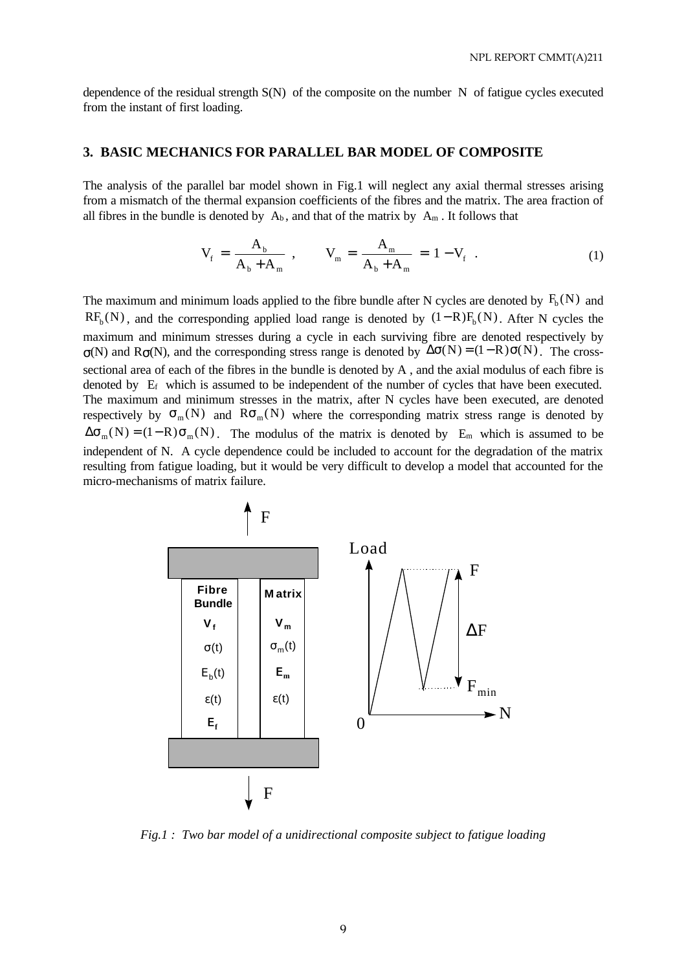dependence of the residual strength S(N) of the composite on the number N of fatigue cycles executed from the instant of first loading.

# **3. BASIC MECHANICS FOR PARALLEL BAR MODEL OF COMPOSITE**

The analysis of the parallel bar model shown in Fig.1 will neglect any axial thermal stresses arising from a mismatch of the thermal expansion coefficients of the fibres and the matrix. The area fraction of all fibres in the bundle is denoted by  $A_b$ , and that of the matrix by  $A_m$ . It follows that

$$
V_{f} = \frac{A_{b}}{A_{b} + A_{m}} , \qquad V_{m} = \frac{A_{m}}{A_{b} + A_{m}} = 1 - V_{f} . \qquad (1)
$$

The maximum and minimum loads applied to the fibre bundle after N cycles are denoted by  $F_b(N)$  and  $RF_b(N)$ , and the corresponding applied load range is denoted by  $(1-R)F_b(N)$ . After N cycles the maximum and minimum stresses during a cycle in each surviving fibre are denoted respectively by  $\sigma(N)$  and R $\sigma(N)$ , and the corresponding stress range is denoted by  $\Delta \sigma(N) = (1 - R) \sigma(N)$ . The crosssectional area of each of the fibres in the bundle is denoted by A , and the axial modulus of each fibre is denoted by  $E_f$  which is assumed to be independent of the number of cycles that have been executed. The maximum and minimum stresses in the matrix, after N cycles have been executed, are denoted respectively by  $\sigma_m(N)$  and  $R\sigma_m(N)$  where the corresponding matrix stress range is denoted by  $\Delta \sigma_m(N) = (1 - R) \sigma_m(N)$ . The modulus of the matrix is denoted by E<sub>m</sub> which is assumed to be independent of N. A cycle dependence could be included to account for the degradation of the matrix resulting from fatigue loading, but it would be very difficult to develop a model that accounted for the micro-mechanisms of matrix failure.



*Fig.1 : Two bar model of a unidirectional composite subject to fatigue loading*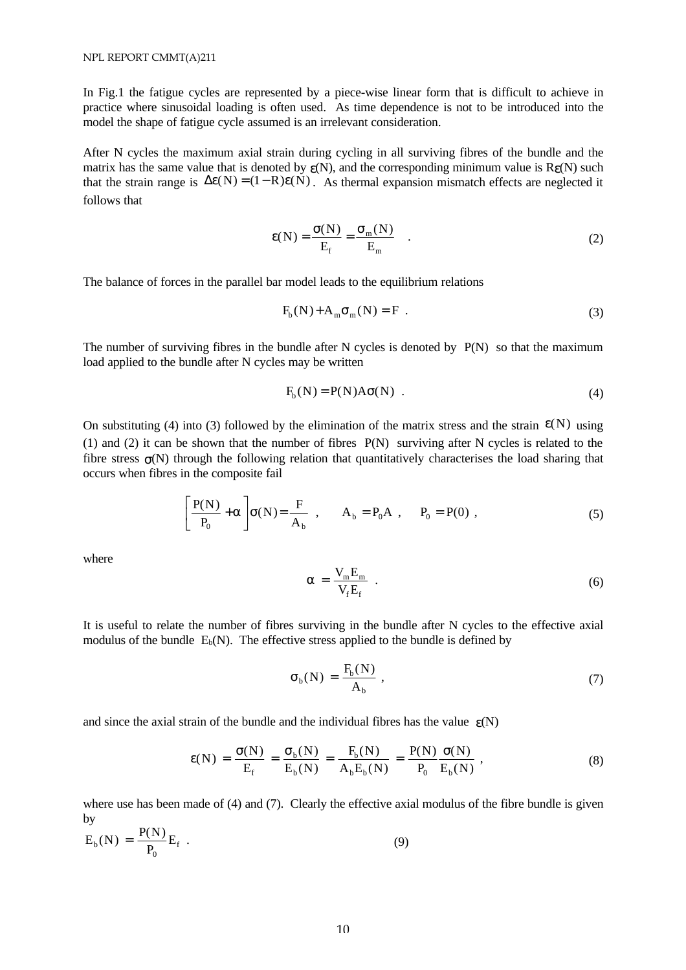In Fig.1 the fatigue cycles are represented by a piece-wise linear form that is difficult to achieve in practice where sinusoidal loading is often used. As time dependence is not to be introduced into the model the shape of fatigue cycle assumed is an irrelevant consideration.

After N cycles the maximum axial strain during cycling in all surviving fibres of the bundle and the matrix has the same value that is denoted by  $\varepsilon(N)$ , and the corresponding minimum value is  $R_{\varepsilon}(N)$  such that the strain range is  $\Delta \varepsilon(N) = (1 - R)\varepsilon(N)$ . As thermal expansion mismatch effects are neglected it follows that

$$
\varepsilon(N) = \frac{\sigma(N)}{E_f} = \frac{\sigma_m(N)}{E_m} .
$$
 (2)

The balance of forces in the parallel bar model leads to the equilibrium relations

$$
F_b(N) + A_m \sigma_m(N) = F . \tag{3}
$$

The number of surviving fibres in the bundle after N cycles is denoted by  $P(N)$  so that the maximum load applied to the bundle after N cycles may be written

$$
F_b(N) = P(N)A\sigma(N) . \qquad (4)
$$

On substituting (4) into (3) followed by the elimination of the matrix stress and the strain  $\varepsilon(N)$  using (1) and (2) it can be shown that the number of fibres P(N) surviving after N cycles is related to the fibre stress  $\sigma(N)$  through the following relation that quantitatively characterises the load sharing that occurs when fibres in the composite fail

$$
\left[\frac{P(N)}{P_0} + \alpha\right] \sigma(N) = \frac{F}{A_b} , \qquad A_b = P_0 A , \qquad P_0 = P(0) ,
$$
 (5)

where

$$
\alpha = \frac{V_m E_m}{V_f E_f} \tag{6}
$$

It is useful to relate the number of fibres surviving in the bundle after N cycles to the effective axial modulus of the bundle  $E_b(N)$ . The effective stress applied to the bundle is defined by

$$
\sigma_{b}(N) = \frac{F_b(N)}{A_b} \,, \tag{7}
$$

and since the axial strain of the bundle and the individual fibres has the value  $\varepsilon(N)$ 

$$
\varepsilon(N) = \frac{\sigma(N)}{E_f} = \frac{\sigma_b(N)}{E_b(N)} = \frac{F_b(N)}{A_b E_b(N)} = \frac{P(N)}{P_0} \frac{\sigma(N)}{E_b(N)},
$$
\n(8)

where use has been made of (4) and (7). Clearly the effective axial modulus of the fibre bundle is given by P(N

$$
E_b(N) = \frac{P(N)}{P_0} E_f .
$$
 (9)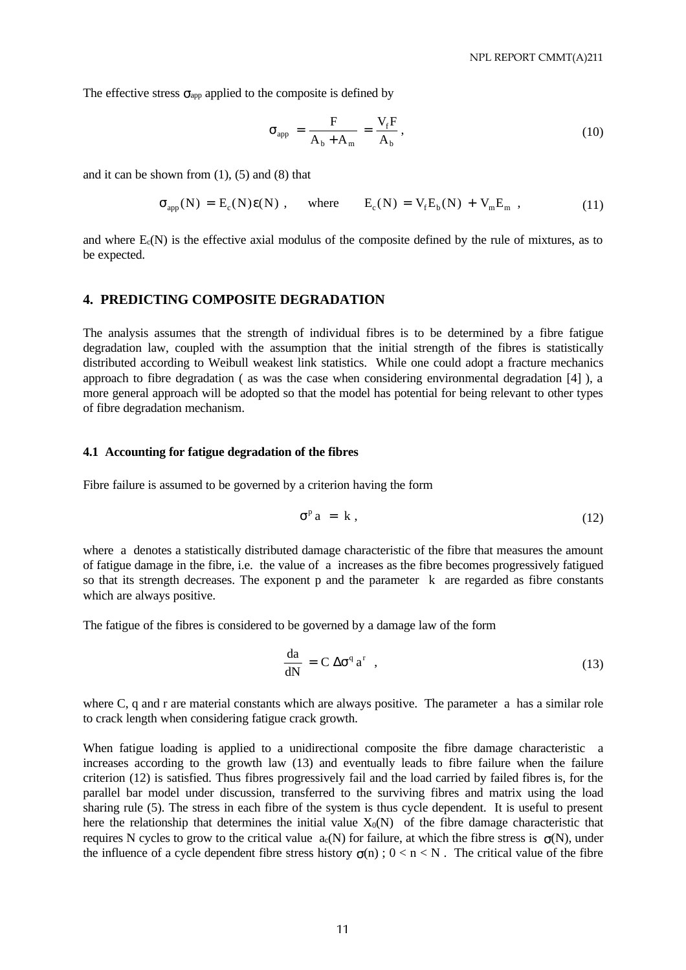The effective stress  $\sigma_{app}$  applied to the composite is defined by

$$
\sigma_{app} = \frac{F}{A_b + A_m} = \frac{V_f F}{A_b},\tag{10}
$$

and it can be shown from  $(1)$ ,  $(5)$  and  $(8)$  that

$$
\sigma_{app}(N) = E_c(N)\varepsilon(N) , \quad \text{where} \quad E_c(N) = V_f E_b(N) + V_m E_m , \qquad (11)
$$

and where Ec(N) is the effective axial modulus of the composite defined by the rule of mixtures, as to be expected.

# **4. PREDICTING COMPOSITE DEGRADATION**

The analysis assumes that the strength of individual fibres is to be determined by a fibre fatigue degradation law, coupled with the assumption that the initial strength of the fibres is statistically distributed according to Weibull weakest link statistics. While one could adopt a fracture mechanics approach to fibre degradation ( as was the case when considering environmental degradation [4] ), a more general approach will be adopted so that the model has potential for being relevant to other types of fibre degradation mechanism.

#### **4.1 Accounting for fatigue degradation of the fibres**

Fibre failure is assumed to be governed by a criterion having the form

$$
\sigma^p a = k , \qquad (12)
$$

where a denotes a statistically distributed damage characteristic of the fibre that measures the amount of fatigue damage in the fibre, i.e. the value of a increases as the fibre becomes progressively fatigued so that its strength decreases. The exponent p and the parameter k are regarded as fibre constants which are always positive.

The fatigue of the fibres is considered to be governed by a damage law of the form

$$
\frac{da}{dN} = C \Delta \sigma^q a^r \quad , \tag{13}
$$

where C, q and r are material constants which are always positive. The parameter a has a similar role to crack length when considering fatigue crack growth.

When fatigue loading is applied to a unidirectional composite the fibre damage characteristic a increases according to the growth law (13) and eventually leads to fibre failure when the failure criterion (12) is satisfied. Thus fibres progressively fail and the load carried by failed fibres is, for the parallel bar model under discussion, transferred to the surviving fibres and matrix using the load sharing rule (5). The stress in each fibre of the system is thus cycle dependent. It is useful to present here the relationship that determines the initial value  $X_0(N)$  of the fibre damage characteristic that requires N cycles to grow to the critical value  $a_c(N)$  for failure, at which the fibre stress is  $\sigma(N)$ , under the influence of a cycle dependent fibre stress history  $\sigma(n)$ ;  $0 < n < N$ . The critical value of the fibre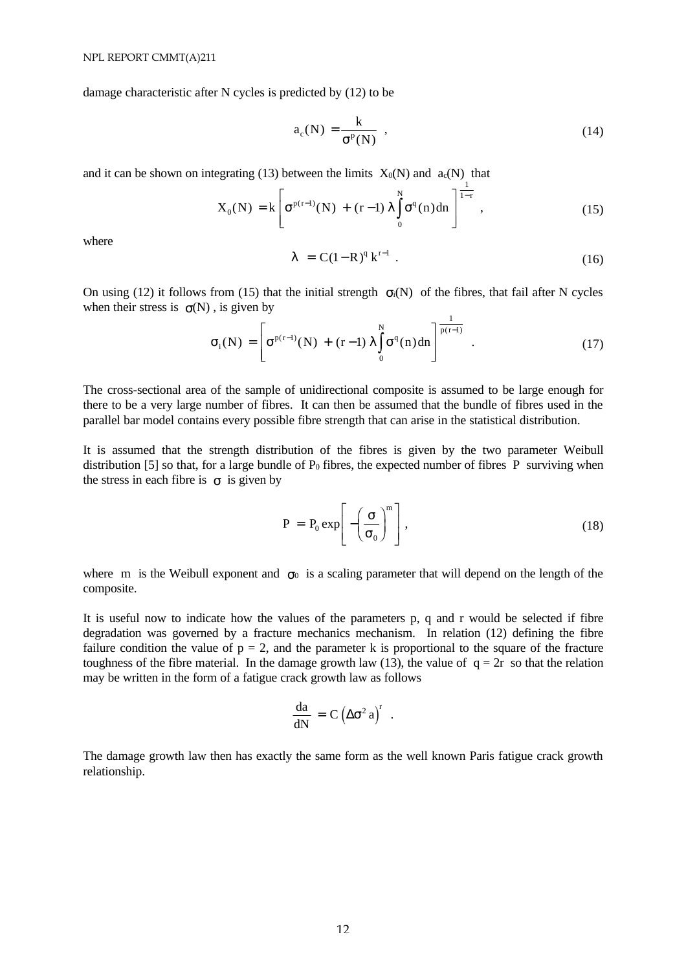damage characteristic after N cycles is predicted by (12) to be

$$
a_c(N) = \frac{k}{\sigma^P(N)} \tag{14}
$$

and it can be shown on integrating (13) between the limits  $X_0(N)$  and  $a_c(N)$  that

$$
X_0(N) = k \left[ \sigma^{p(r-1)}(N) + (r-1) \lambda \int_0^N \sigma^q(n) dn \right]_1^{\frac{1}{1-r}}, \qquad (15)
$$

where

$$
\lambda = C(1 - R)^{q} k^{r-1} . \tag{16}
$$

On using (12) it follows from (15) that the initial strength  $\sigma_i(N)$  of the fibres, that fail after N cycles when their stress is  $\sigma(N)$ , is given by 1

$$
\sigma_{i}(N) = \left[\sigma^{p(r-1)}(N) + (r-1)\lambda \int_{0}^{N} \sigma^{q}(n)dn\right]^{\frac{1}{p(r-1)}}.
$$
 (17)

The cross-sectional area of the sample of unidirectional composite is assumed to be large enough for there to be a very large number of fibres. It can then be assumed that the bundle of fibres used in the parallel bar model contains every possible fibre strength that can arise in the statistical distribution.

It is assumed that the strength distribution of the fibres is given by the two parameter Weibull distribution [5] so that, for a large bundle of  $P_0$  fibres, the expected number of fibres P surviving when the stress in each fibre is  $\sigma$  is given by

$$
P = P_0 \exp\left[-\left(\frac{\sigma}{\sigma_0}\right)^m\right],
$$
\n(18)

where m is the Weibull exponent and  $\sigma_0$  is a scaling parameter that will depend on the length of the composite.

It is useful now to indicate how the values of the parameters p, q and r would be selected if fibre degradation was governed by a fracture mechanics mechanism. In relation (12) defining the fibre failure condition the value of  $p = 2$ , and the parameter k is proportional to the square of the fracture toughness of the fibre material. In the damage growth law (13), the value of  $q = 2r$  so that the relation may be written in the form of a fatigue crack growth law as follows

$$
\frac{da}{dN} = C (\Delta \sigma^2 a)^r .
$$

The damage growth law then has exactly the same form as the well known Paris fatigue crack growth relationship.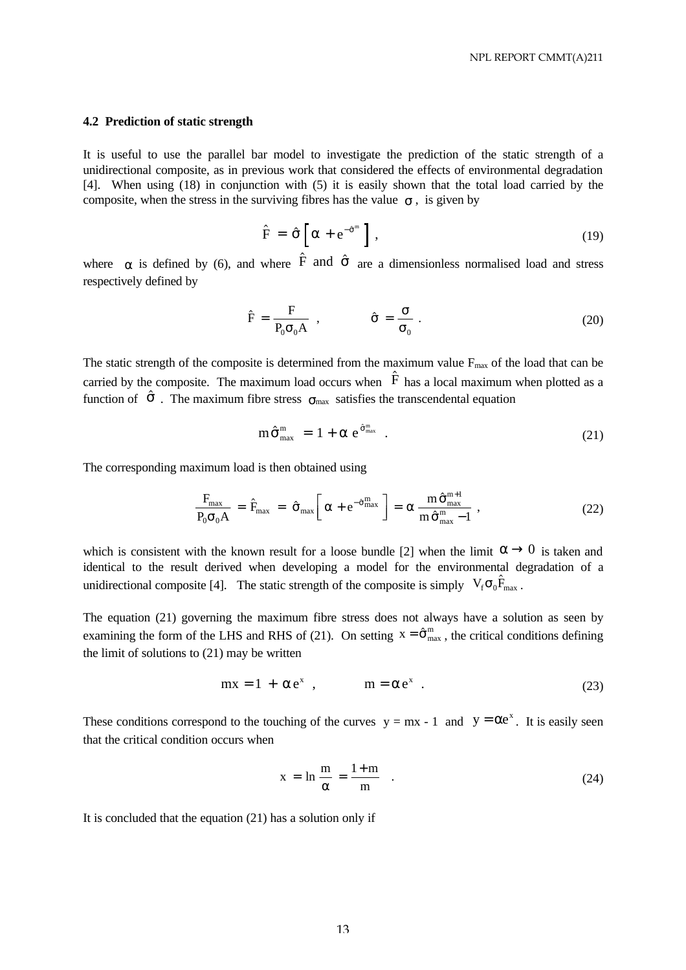#### **4.2 Prediction of static strength**

It is useful to use the parallel bar model to investigate the prediction of the static strength of a unidirectional composite, as in previous work that considered the effects of environmental degradation [4]. When using (18) in conjunction with (5) it is easily shown that the total load carried by the composite, when the stress in the surviving fibres has the value  $\sigma$ , is given by

$$
\hat{F} = \hat{\sigma} \left[ \alpha + e^{-\hat{\sigma}^m} \right], \qquad (19)
$$

where  $\alpha$  is defined by (6), and where  $\hat{F}$  and  $\hat{\sigma}$  are a dimensionless normalised load and stress respectively defined by

$$
\hat{F} = \frac{F}{P_0 \sigma_0 A} , \qquad \hat{\sigma} = \frac{\sigma}{\sigma_0} .
$$
 (20)

The static strength of the composite is determined from the maximum value  $F_{\text{max}}$  of the load that can be carried by the composite. The maximum load occurs when  $\hat{F}$  has a local maximum when plotted as a function of  $\hat{\sigma}$ . The maximum fibre stress  $\sigma_{\text{max}}$  satisfies the transcendental equation

$$
m\hat{\sigma}_{\text{max}}^{\text{m}} = 1 + \alpha e^{\hat{\sigma}_{\text{max}}^{\text{m}}}. \qquad (21)
$$

The corresponding maximum load is then obtained using

$$
\frac{F_{\text{max}}}{P_0 \sigma_0 A} = \hat{F}_{\text{max}} = \hat{\sigma}_{\text{max}} \left[ \alpha + e^{-\hat{\sigma}_{\text{max}}^m} \right] = \alpha \frac{m \hat{\sigma}_{\text{max}}^{m+1}}{m \hat{\sigma}_{\text{max}}^m - 1} , \qquad (22)
$$

which is consistent with the known result for a loose bundle [2] when the limit  $\alpha \rightarrow 0$  is taken and identical to the result derived when developing a model for the environmental degradation of a unidirectional composite [4]. The static strength of the composite is simply  $V_f \sigma_0 \hat{F}_{max}$ .

The equation (21) governing the maximum fibre stress does not always have a solution as seen by examining the form of the LHS and RHS of (21). On setting  $x = \hat{\sigma}_{max}^{m}$ , the critical conditions defining the limit of solutions to (21) may be written

$$
mx = 1 + \alpha e^x , \qquad m = \alpha e^x . \qquad (23)
$$

These conditions correspond to the touching of the curves  $y = mx - 1$  and  $y = \alpha e^x$ . It is easily seen that the critical condition occurs when

$$
x = \ln \frac{m}{\alpha} = \frac{1+m}{m} \quad . \tag{24}
$$

It is concluded that the equation (21) has a solution only if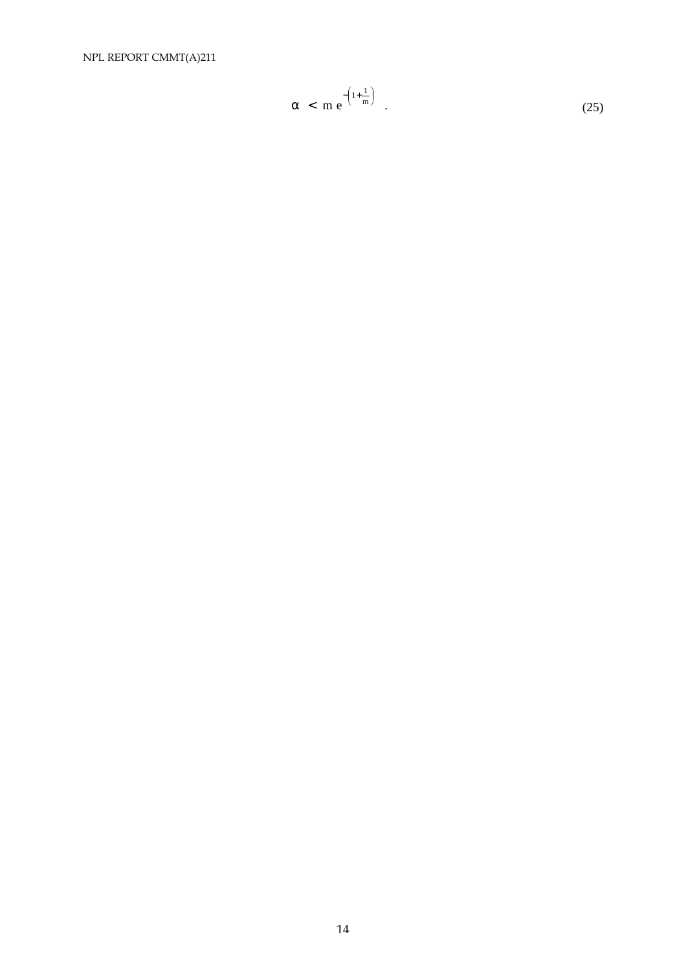NPL REPORT CMMT(A)211

$$
\alpha \, < \, m \, e^{-\left(1 + \frac{1}{m}\right)} \tag{25}
$$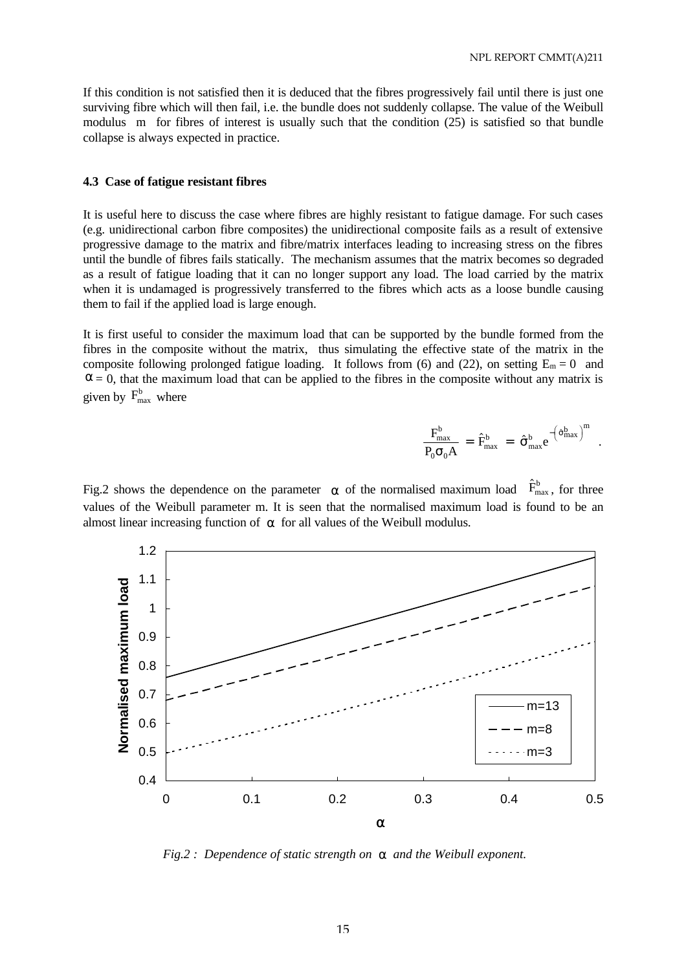If this condition is not satisfied then it is deduced that the fibres progressively fail until there is just one surviving fibre which will then fail, i.e. the bundle does not suddenly collapse. The value of the Weibull modulus m for fibres of interest is usually such that the condition (25) is satisfied so that bundle collapse is always expected in practice.

#### **4.3 Case of fatigue resistant fibres**

It is useful here to discuss the case where fibres are highly resistant to fatigue damage. For such cases (e.g. unidirectional carbon fibre composites) the unidirectional composite fails as a result of extensive progressive damage to the matrix and fibre/matrix interfaces leading to increasing stress on the fibres until the bundle of fibres fails statically. The mechanism assumes that the matrix becomes so degraded as a result of fatigue loading that it can no longer support any load. The load carried by the matrix when it is undamaged is progressively transferred to the fibres which acts as a loose bundle causing them to fail if the applied load is large enough.

It is first useful to consider the maximum load that can be supported by the bundle formed from the fibres in the composite without the matrix, thus simulating the effective state of the matrix in the composite following prolonged fatigue loading. It follows from (6) and (22), on setting  $E_m = 0$  and  $\alpha = 0$ , that the maximum load that can be applied to the fibres in the composite without any matrix is given by  $F_{\text{max}}^{\text{b}}$  where

$$
\frac{F_{\text{max}}^{\text{b}}}{P_0\sigma_0A} \,=\, \hat{F}_{\text{max}}^{\text{b}} \,=\, \hat{\sigma}_{\text{max}}^{\text{b}}e^{-\left(\hat{\sigma}_{\text{max}}^{\text{b}}\right)^m} \enspace.
$$

Fig.2 shows the dependence on the parameter  $\alpha$  of the normalised maximum load  $\hat{F}^b_{\text{max}}$ , for three values of the Weibull parameter m. It is seen that the normalised maximum load is found to be an almost linear increasing function of  $\alpha$  for all values of the Weibull modulus.



 *Fig.2 : Dependence of static strength on a and the Weibull exponent.*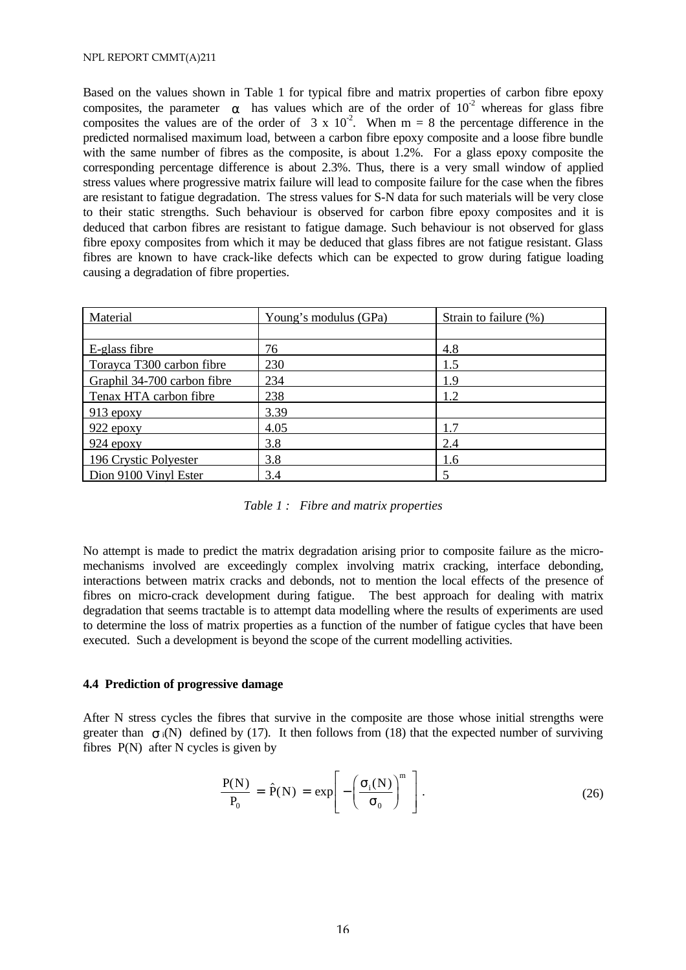Based on the values shown in Table 1 for typical fibre and matrix properties of carbon fibre epoxy composites, the parameter  $\alpha$  has values which are of the order of 10<sup>-2</sup> whereas for glass fibre composites the values are of the order of  $3 \times 10^{-2}$ . When m = 8 the percentage difference in the predicted normalised maximum load, between a carbon fibre epoxy composite and a loose fibre bundle with the same number of fibres as the composite, is about 1.2%. For a glass epoxy composite the corresponding percentage difference is about 2.3%. Thus, there is a very small window of applied stress values where progressive matrix failure will lead to composite failure for the case when the fibres are resistant to fatigue degradation. The stress values for S-N data for such materials will be very close to their static strengths. Such behaviour is observed for carbon fibre epoxy composites and it is deduced that carbon fibres are resistant to fatigue damage. Such behaviour is not observed for glass fibre epoxy composites from which it may be deduced that glass fibres are not fatigue resistant. Glass fibres are known to have crack-like defects which can be expected to grow during fatigue loading causing a degradation of fibre properties.

| Material                    | Young's modulus (GPa) | Strain to failure (%) |
|-----------------------------|-----------------------|-----------------------|
|                             |                       |                       |
| E-glass fibre               | 76                    | 4.8                   |
| Torayca T300 carbon fibre   | 230                   | 1.5                   |
| Graphil 34-700 carbon fibre | 234                   | 1.9                   |
| Tenax HTA carbon fibre      | 238                   | 1.2                   |
| $913$ epoxy                 | 3.39                  |                       |
| $922$ epoxy                 | 4.05                  | 1.7                   |
| $924$ epoxy                 | 3.8                   | 2.4                   |
| 196 Crystic Polyester       | 3.8                   | 1.6                   |
| Dion 9100 Vinyl Ester       | 3.4                   |                       |

*Table 1 : Fibre and matrix properties*

No attempt is made to predict the matrix degradation arising prior to composite failure as the micromechanisms involved are exceedingly complex involving matrix cracking, interface debonding, interactions between matrix cracks and debonds, not to mention the local effects of the presence of fibres on micro-crack development during fatigue. The best approach for dealing with matrix degradation that seems tractable is to attempt data modelling where the results of experiments are used to determine the loss of matrix properties as a function of the number of fatigue cycles that have been executed. Such a development is beyond the scope of the current modelling activities.

# **4.4 Prediction of progressive damage**

After N stress cycles the fibres that survive in the composite are those whose initial strengths were greater than  $\sigma_i(N)$  defined by (17). It then follows from (18) that the expected number of surviving fibres P(N) after N cycles is given by

$$
\frac{P(N)}{P_0} = \hat{P}(N) = \exp\left[-\left(\frac{\sigma_i(N)}{\sigma_0}\right)^m\right].
$$
 (26)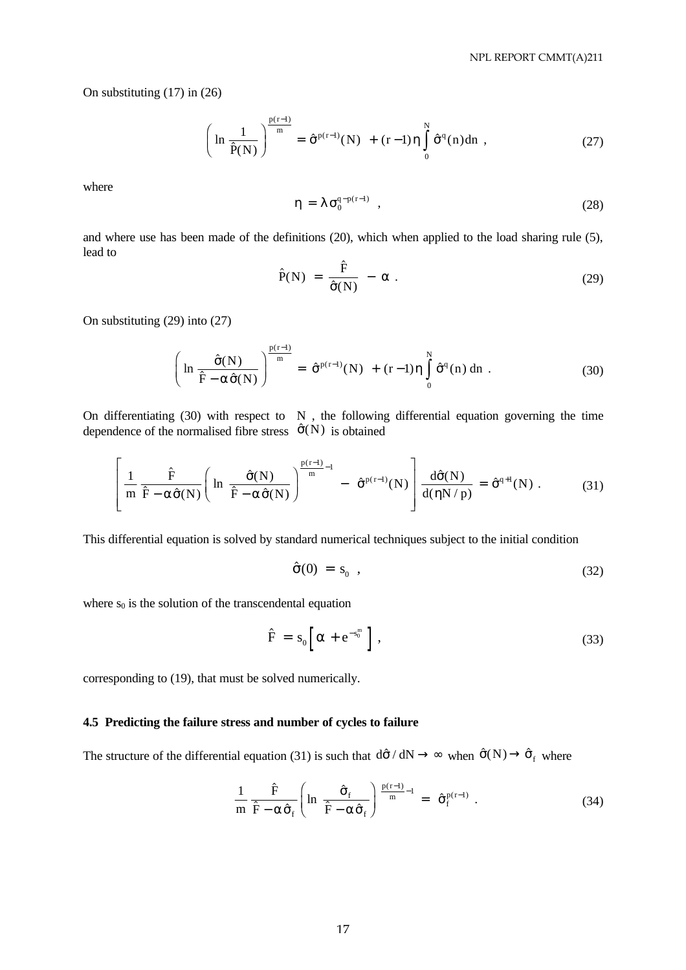On substituting (17) in (26)

$$
\left(\ln\frac{1}{\hat{P}(N)}\right)^{\frac{p(r-1)}{m}} = \hat{\sigma}^{p(r-1)}(N) + (r-1)\eta \int_{0}^{N} \hat{\sigma}^{q}(n)dn , \qquad (27)
$$

where

$$
\eta = \lambda \sigma_0^{q-p(r-1)} \quad , \tag{28}
$$

and where use has been made of the definitions (20), which when applied to the load sharing rule (5), lead to

$$
\hat{P}(N) = \frac{\hat{F}}{\hat{\sigma}(N)} - \alpha . \qquad (29)
$$

On substituting (29) into (27)

$$
\left(\ln\frac{\hat{\sigma}(N)}{\hat{F}-\alpha\hat{\sigma}(N)}\right)^{\frac{p(r-1)}{m}}=\hat{\sigma}^{p(r-1)}(N)+(r-1)\eta\int_{0}^{N}\hat{\sigma}^{q}(n) dn.
$$
\n(30)

On differentiating  $(30)$  with respect to N, the following differential equation governing the time dependence of the normalised fibre stress  $\hat{\sigma}(N)$  is obtained

$$
\left[\frac{1}{m}\frac{\hat{F}}{\hat{F}-\alpha\hat{\sigma}(N)}\left(\ln\frac{\hat{\sigma}(N)}{\hat{F}-\alpha\hat{\sigma}(N)}\right)^{\frac{p(r-1)}{m}-1}-\hat{\sigma}^{p(r-1)}(N)\right]\frac{d\hat{\sigma}(N)}{d(\eta N/p)}=\hat{\sigma}^{q+1}(N). \tag{31}
$$

This differential equation is solved by standard numerical techniques subject to the initial condition

$$
\hat{\sigma}(0) = s_0 \tag{32}
$$

where  $s_0$  is the solution of the transcendental equation

$$
\hat{F} = s_0 \left[ \alpha + e^{-s_0^m} \right], \qquad (33)
$$

corresponding to (19), that must be solved numerically.

### **4.5 Predicting the failure stress and number of cycles to failure**

The structure of the differential equation (31) is such that  $d\hat{\sigma}/dN \to \infty$  when  $\hat{\sigma}(N) \to \hat{\sigma}_f$  where

$$
\frac{1}{m} \frac{\hat{F}}{\hat{F} - \alpha \hat{\sigma}_f} \left( \ln \frac{\hat{\sigma}_f}{\hat{F} - \alpha \hat{\sigma}_f} \right) \frac{p(r-1)}{m} = \hat{\sigma}_f^{p(r-1)} . \tag{34}
$$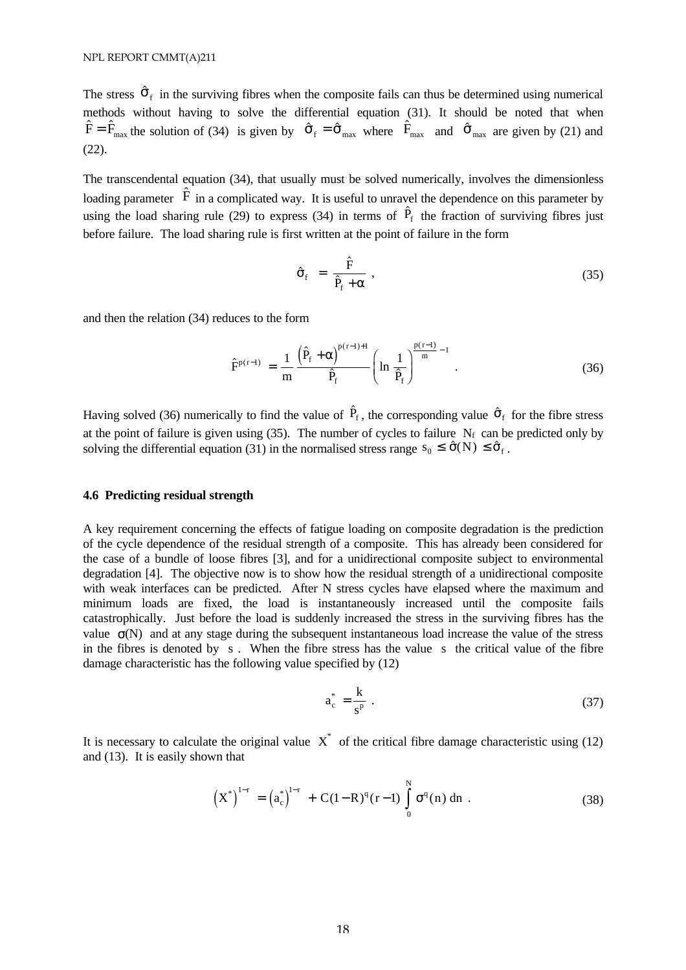The stress  $\hat{\sigma}_{f}$  in the surviving fibres when the composite fails can thus be determined using numerical methods without having to solve the differential equation (31). It should be noted that when  $\hat{F} = \hat{F}_{\text{max}}$  the solution of (34) is given by  $\hat{\sigma}_{f} = \hat{\sigma}_{\text{max}}$  where  $\hat{F}_{\text{max}}$  and  $\hat{\sigma}_{\text{max}}$  are given by (21) and  $(22)$ .

The transcendental equation (34), that usually must be solved numerically, involves the dimensionless loading parameter  $\hat{F}$  in a complicated way. It is useful to unravel the dependence on this parameter by using the load sharing rule (29) to express (34) in terms of  $\hat{P}_f$  the fraction of surviving fibres just before failure. The load sharing rule is first written at the point of failure in the form

$$
\hat{\sigma}_f = \frac{\hat{F}}{\hat{P}_f + \alpha} \,, \tag{35}
$$

and then the relation (34) reduces to the form

$$
\hat{F}^{p(r-1)} = \frac{1}{m} \frac{\left(\hat{P}_f + \alpha\right)^{p(r-1)+1}}{\hat{P}_f} \left(\ln \frac{1}{\hat{P}_f}\right)^{\frac{p(r-1)}{m}-1} . \tag{36}
$$

Having solved (36) numerically to find the value of  $\hat{P}_f$ , the corresponding value  $\hat{\sigma}_f$  for the fibre stress at the point of failure is given using (35). The number of cycles to failure  $N_f$  can be predicted only by solving the differential equation (31) in the normalised stress range  $s_0 \leq \hat{\sigma}(N) \leq \hat{\sigma}_f$ .

### **4.6 Predicting residual strength**

A key requirement concerning the effects of fatigue loading on composite degradation is the prediction of the cycle dependence of the residual strength of a composite. This has already been considered for the case of a bundle of loose fibres [3], and for a unidirectional composite subject to environmental degradation [4]. The objective now is to show how the residual strength of a unidirectional composite with weak interfaces can be predicted. After N stress cycles have elapsed where the maximum and minimum loads are fixed, the load is instantaneously increased until the composite fails catastrophically. Just before the load is suddenly increased the stress in the surviving fibres has the value  $\sigma(N)$  and at any stage during the subsequent instantaneous load increase the value of the stress in the fibres is denoted by s . When the fibre stress has the value s the critical value of the fibre damage characteristic has the following value specified by (12)

$$
a_c^* = \frac{k}{s^p} \tag{37}
$$

It is necessary to calculate the original value  $X^*$  of the critical fibre damage characteristic using (12) and (13). It is easily shown that

$$
\left(X^*\right)^{1-r} = \left(a_c^*\right)^{1-r} + C(1-R)^q(r-1) \int_0^N \sigma^q(n) \, dn \tag{38}
$$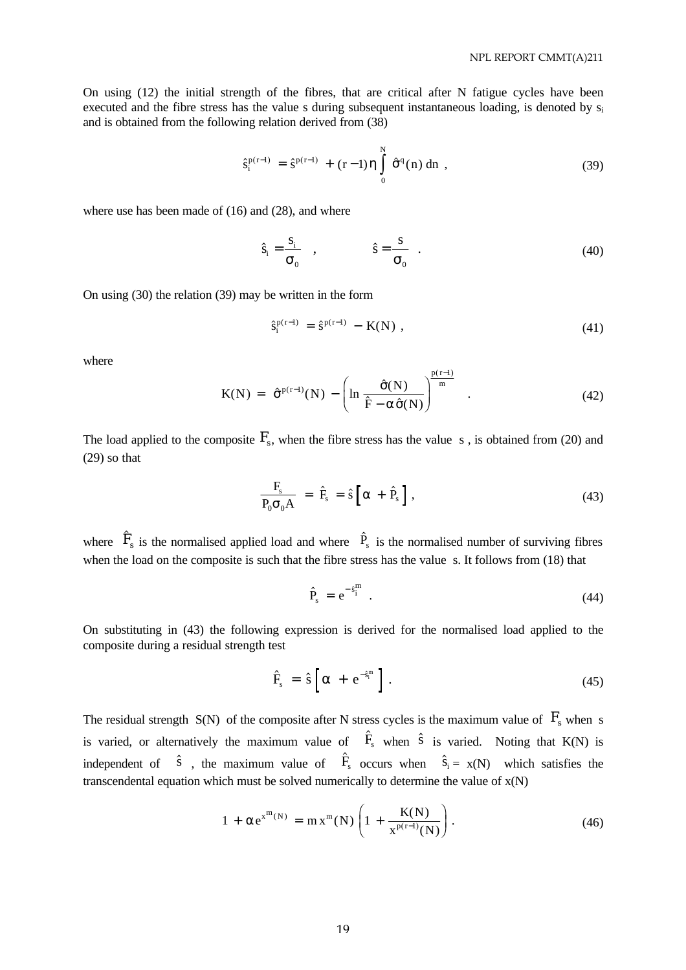On using (12) the initial strength of the fibres, that are critical after N fatigue cycles have been executed and the fibre stress has the value s during subsequent instantaneous loading, is denoted by s<sub>i</sub> and is obtained from the following relation derived from (38)

$$
\hat{s}_i^{p(r-1)} = \hat{s}^{p(r-1)} + (r-1)\eta \int_0^N \hat{\sigma}^q(n) \,dn \tag{39}
$$

where use has been made of (16) and (28), and where

$$
\hat{s}_i = \frac{s_i}{\sigma_0} , \qquad \hat{s} = \frac{s}{\sigma_0} . \tag{40}
$$

On using (30) the relation (39) may be written in the form

$$
\hat{s}_i^{p(r-1)} = \hat{s}^{p(r-1)} - K(N) , \qquad (41)
$$

where

$$
K(N) = \hat{\sigma}^{p(r-1)}(N) - \left(\ln \frac{\hat{\sigma}(N)}{\hat{F} - \alpha \hat{\sigma}(N)}\right)^{\frac{p(r-1)}{m}} . \tag{42}
$$

The load applied to the composite  $F_s$ , when the fibre stress has the value s, is obtained from (20) and (29) so that

$$
\frac{F_s}{P_0 \sigma_0 A} = \hat{F}_s = \hat{s} \left[ \alpha + \hat{P}_s \right], \qquad (43)
$$

where  $\hat{F}_s$  is the normalised applied load and where  $\hat{P}_s$  is the normalised number of surviving fibres when the load on the composite is such that the fibre stress has the value s. It follows from (18) that

$$
\hat{P}_s = e^{-\hat{s}_i^m} \tag{44}
$$

On substituting in (43) the following expression is derived for the normalised load applied to the composite during a residual strength test

$$
\hat{F}_s = \hat{s} \left[ \alpha + e^{-\hat{s}_i^m} \right]. \tag{45}
$$

The residual strength  $S(N)$  of the composite after N stress cycles is the maximum value of  $F_s$  when s is varied, or alternatively the maximum value of  $\hat{F}_s$  when  $\hat{s}$  is varied. Noting that K(N) is independent of  $\hat{s}$ , the maximum value of  $\hat{F}_s$  occurs when  $\hat{s}_i = x(N)$  which satisfies the transcendental equation which must be solved numerically to determine the value of  $x(N)$ 

$$
1 + \alpha e^{x^{m}(N)} = m x^{m}(N) \left( 1 + \frac{K(N)}{x^{p(r-1)}(N)} \right).
$$
 (46)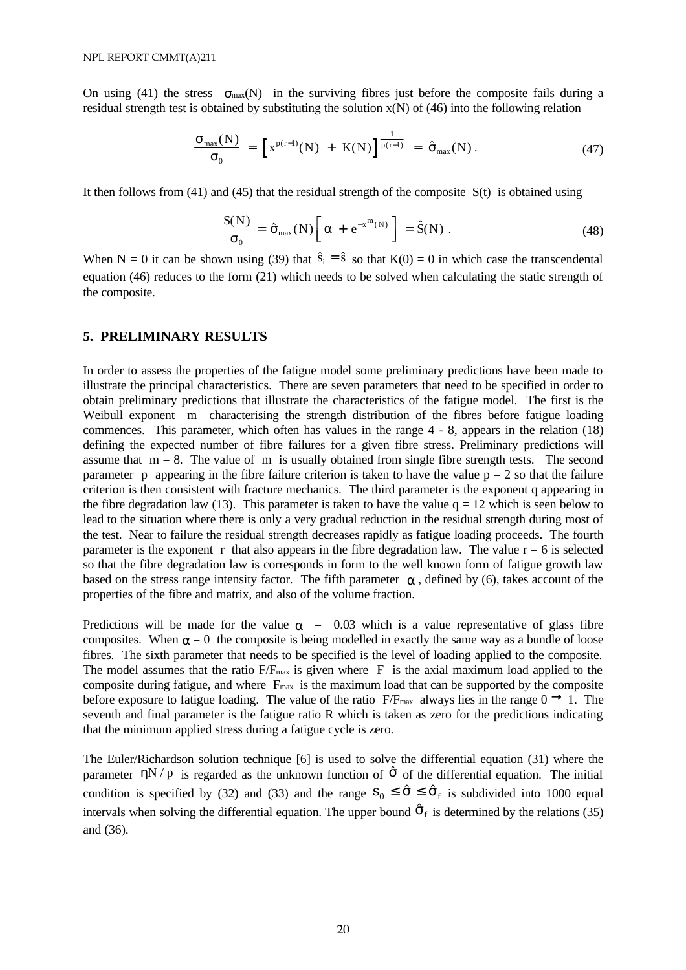On using (41) the stress  $\sigma_{\text{max}}(N)$  in the surviving fibres just before the composite fails during a residual strength test is obtained by substituting the solution  $x(N)$  of (46) into the following relation

$$
\frac{\sigma_{\max}(N)}{\sigma_0} = \left[ x^{p(r-1)}(N) + K(N) \right]^{\frac{1}{p(r-1)}} = \hat{\sigma}_{\max}(N). \tag{47}
$$

It then follows from  $(41)$  and  $(45)$  that the residual strength of the composite  $S(t)$  is obtained using

$$
\frac{S(N)}{\sigma_0} = \hat{\sigma}_{\text{max}}(N) \left[ \alpha + e^{-x^m(N)} \right] = \hat{S}(N) . \qquad (48)
$$

When N = 0 it can be shown using (39) that  $\hat{s}_i = \hat{s}$  so that K(0) = 0 in which case the transcendental equation (46) reduces to the form (21) which needs to be solved when calculating the static strength of the composite.

### **5. PRELIMINARY RESULTS**

In order to assess the properties of the fatigue model some preliminary predictions have been made to illustrate the principal characteristics. There are seven parameters that need to be specified in order to obtain preliminary predictions that illustrate the characteristics of the fatigue model. The first is the Weibull exponent m characterising the strength distribution of the fibres before fatigue loading commences. This parameter, which often has values in the range 4 - 8, appears in the relation (18) defining the expected number of fibre failures for a given fibre stress. Preliminary predictions will assume that  $m = 8$ . The value of m is usually obtained from single fibre strength tests. The second parameter p appearing in the fibre failure criterion is taken to have the value  $p = 2$  so that the failure criterion is then consistent with fracture mechanics. The third parameter is the exponent q appearing in the fibre degradation law (13). This parameter is taken to have the value  $q = 12$  which is seen below to lead to the situation where there is only a very gradual reduction in the residual strength during most of the test. Near to failure the residual strength decreases rapidly as fatigue loading proceeds. The fourth parameter is the exponent r that also appears in the fibre degradation law. The value  $r = 6$  is selected so that the fibre degradation law is corresponds in form to the well known form of fatigue growth law based on the stress range intensity factor. The fifth parameter  $\alpha$ , defined by (6), takes account of the properties of the fibre and matrix, and also of the volume fraction.

Predictions will be made for the value  $\alpha$  = 0.03 which is a value representative of glass fibre composites. When  $\alpha = 0$  the composite is being modelled in exactly the same way as a bundle of loose fibres. The sixth parameter that needs to be specified is the level of loading applied to the composite. The model assumes that the ratio  $F/F_{\text{max}}$  is given where F is the axial maximum load applied to the composite during fatigue, and where  $F_{\text{max}}$  is the maximum load that can be supported by the composite before exposure to fatigue loading. The value of the ratio  $F/F_{\text{max}}$  always lies in the range  $0 \rightarrow 1$ . The seventh and final parameter is the fatigue ratio R which is taken as zero for the predictions indicating that the minimum applied stress during a fatigue cycle is zero.

The Euler/Richardson solution technique [6] is used to solve the differential equation (31) where the parameter  $\eta N / p$  is regarded as the unknown function of  $\hat{\sigma}$  of the differential equation. The initial condition is specified by (32) and (33) and the range  $S_0 \leq \hat{\sigma} \leq \hat{\sigma}_f$  is subdivided into 1000 equal intervals when solving the differential equation. The upper bound  $\hat{\sigma}_{f}$  is determined by the relations (35) and (36).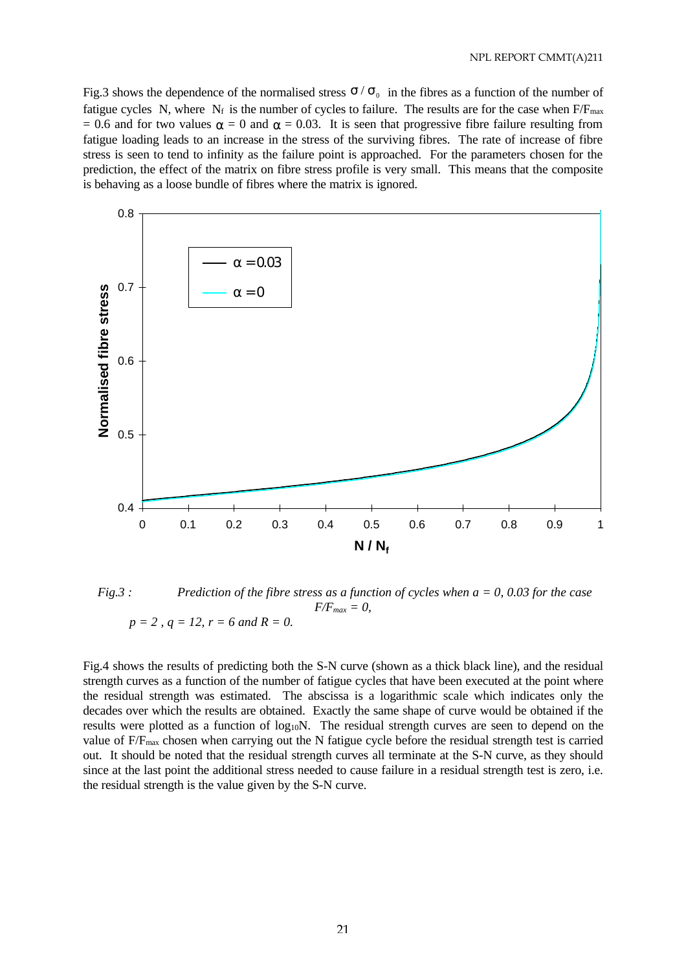Fig.3 shows the dependence of the normalised stress  $\sigma/\sigma_0$  in the fibres as a function of the number of fatigue cycles N, where  $N_f$  is the number of cycles to failure. The results are for the case when  $F/F_{max}$ = 0.6 and for two values  $\alpha$  = 0 and  $\alpha$  = 0.03. It is seen that progressive fibre failure resulting from fatigue loading leads to an increase in the stress of the surviving fibres. The rate of increase of fibre stress is seen to tend to infinity as the failure point is approached. For the parameters chosen for the prediction, the effect of the matrix on fibre stress profile is very small. This means that the composite is behaving as a loose bundle of fibres where the matrix is ignored.



 *Fig.3 : Prediction of the fibre stress as a function of cycles when a = 0, 0.03 for the case*   $F/F_{max} = 0$ ,  $p = 2$ ,  $q = 12$ ,  $r = 6$  and  $R = 0$ .

Fig.4 shows the results of predicting both the S-N curve (shown as a thick black line), and the residual strength curves as a function of the number of fatigue cycles that have been executed at the point where the residual strength was estimated. The abscissa is a logarithmic scale which indicates only the decades over which the results are obtained. Exactly the same shape of curve would be obtained if the results were plotted as a function of log<sub>10</sub>N. The residual strength curves are seen to depend on the value of  $F/F_{\text{max}}$  chosen when carrying out the N fatigue cycle before the residual strength test is carried out. It should be noted that the residual strength curves all terminate at the S-N curve, as they should since at the last point the additional stress needed to cause failure in a residual strength test is zero, i.e. the residual strength is the value given by the S-N curve.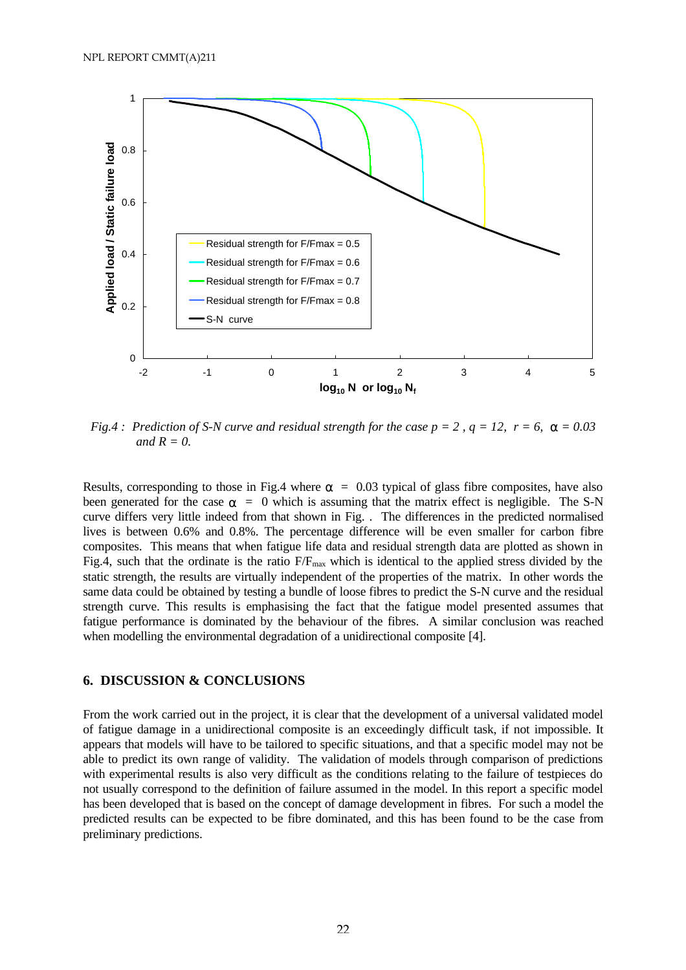

*Fig.4 : Prediction of S-N curve and residual strength for the case*  $p = 2$ *,*  $q = 12$ *,*  $r = 6$ *,*  $\mathbf{a} = 0.03$ *and*  $R = 0$ .

Results, corresponding to those in Fig.4 where  $\alpha$  = 0.03 typical of glass fibre composites, have also been generated for the case  $\alpha = 0$  which is assuming that the matrix effect is negligible. The S-N curve differs very little indeed from that shown in Fig. . The differences in the predicted normalised lives is between 0.6% and 0.8%. The percentage difference will be even smaller for carbon fibre composites. This means that when fatigue life data and residual strength data are plotted as shown in Fig.4, such that the ordinate is the ratio  $F/F_{max}$  which is identical to the applied stress divided by the static strength, the results are virtually independent of the properties of the matrix. In other words the same data could be obtained by testing a bundle of loose fibres to predict the S-N curve and the residual strength curve. This results is emphasising the fact that the fatigue model presented assumes that fatigue performance is dominated by the behaviour of the fibres. A similar conclusion was reached when modelling the environmental degradation of a unidirectional composite [4].

# **6. DISCUSSION & CONCLUSIONS**

From the work carried out in the project, it is clear that the development of a universal validated model of fatigue damage in a unidirectional composite is an exceedingly difficult task, if not impossible. It appears that models will have to be tailored to specific situations, and that a specific model may not be able to predict its own range of validity. The validation of models through comparison of predictions with experimental results is also very difficult as the conditions relating to the failure of testpieces do not usually correspond to the definition of failure assumed in the model. In this report a specific model has been developed that is based on the concept of damage development in fibres. For such a model the predicted results can be expected to be fibre dominated, and this has been found to be the case from preliminary predictions.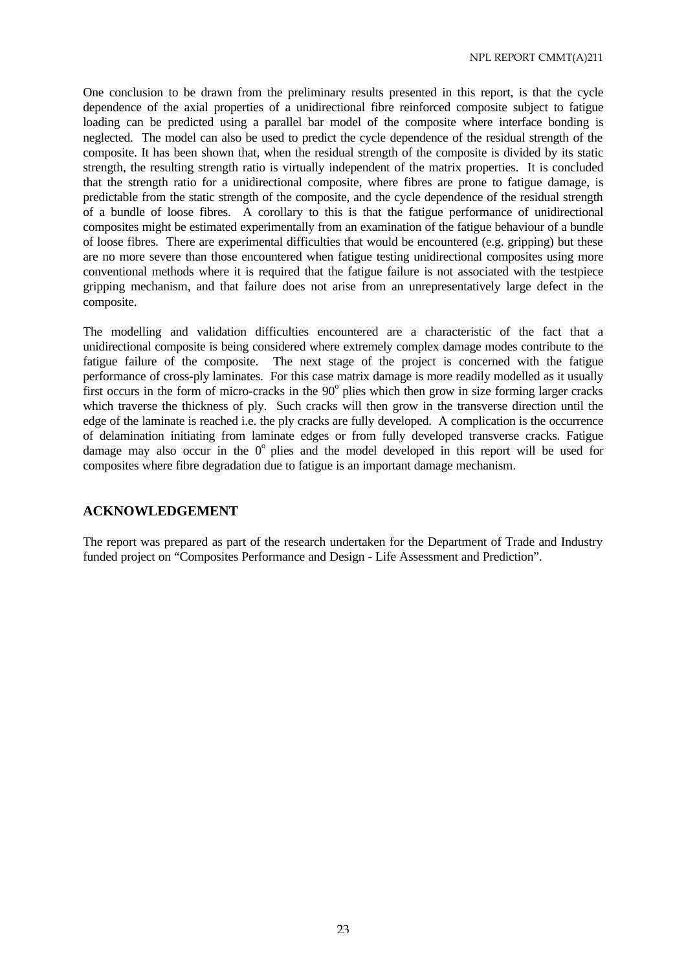One conclusion to be drawn from the preliminary results presented in this report, is that the cycle dependence of the axial properties of a unidirectional fibre reinforced composite subject to fatigue loading can be predicted using a parallel bar model of the composite where interface bonding is neglected. The model can also be used to predict the cycle dependence of the residual strength of the composite. It has been shown that, when the residual strength of the composite is divided by its static strength, the resulting strength ratio is virtually independent of the matrix properties. It is concluded that the strength ratio for a unidirectional composite, where fibres are prone to fatigue damage, is predictable from the static strength of the composite, and the cycle dependence of the residual strength of a bundle of loose fibres. A corollary to this is that the fatigue performance of unidirectional composites might be estimated experimentally from an examination of the fatigue behaviour of a bundle of loose fibres. There are experimental difficulties that would be encountered (e.g. gripping) but these are no more severe than those encountered when fatigue testing unidirectional composites using more conventional methods where it is required that the fatigue failure is not associated with the testpiece gripping mechanism, and that failure does not arise from an unrepresentatively large defect in the composite.

The modelling and validation difficulties encountered are a characteristic of the fact that a unidirectional composite is being considered where extremely complex damage modes contribute to the fatigue failure of the composite. The next stage of the project is concerned with the fatigue performance of cross-ply laminates. For this case matrix damage is more readily modelled as it usually first occurs in the form of micro-cracks in the  $90^{\circ}$  plies which then grow in size forming larger cracks which traverse the thickness of ply. Such cracks will then grow in the transverse direction until the edge of the laminate is reached i.e. the ply cracks are fully developed. A complication is the occurrence of delamination initiating from laminate edges or from fully developed transverse cracks. Fatigue damage may also occur in the  $0^{\circ}$  plies and the model developed in this report will be used for composites where fibre degradation due to fatigue is an important damage mechanism.

# **ACKNOWLEDGEMENT**

The report was prepared as part of the research undertaken for the Department of Trade and Industry funded project on "Composites Performance and Design - Life Assessment and Prediction".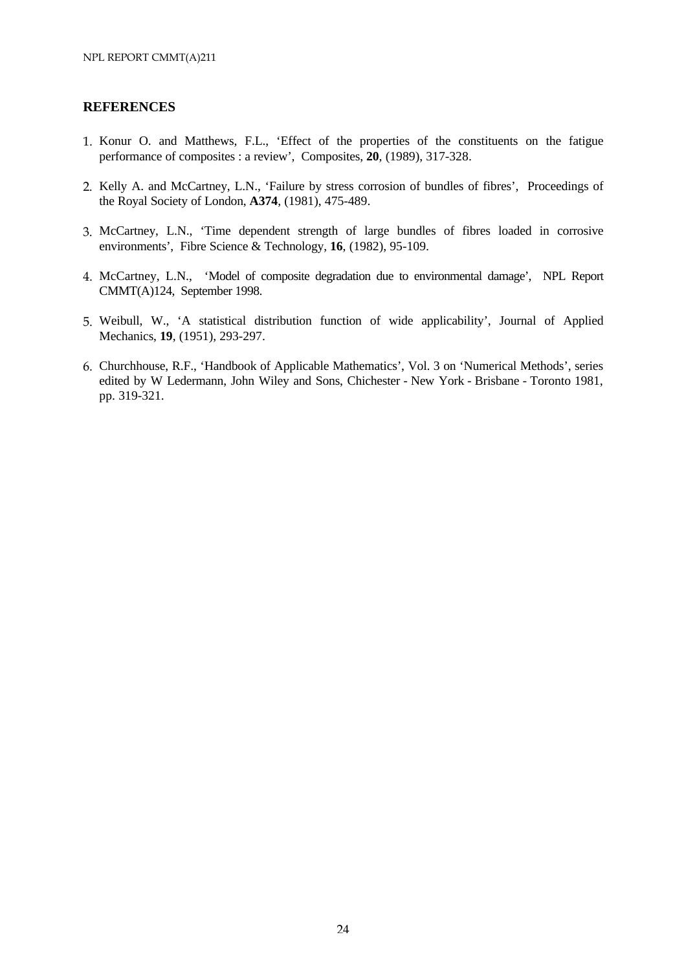# **REFERENCES**

- 1. Konur O. and Matthews, F.L., 'Effect of the properties of the constituents on the fatigue performance of composites : a review', Composites, **20**, (1989), 317-328.
- 2. Kelly A. and McCartney, L.N., 'Failure by stress corrosion of bundles of fibres', Proceedings of the Royal Society of London, **A374**, (1981), 475-489.
- 3. McCartney, L.N., 'Time dependent strength of large bundles of fibres loaded in corrosive environments', Fibre Science & Technology, **16**, (1982), 95-109.
- 4. McCartney, L.N., 'Model of composite degradation due to environmental damage', NPL Report CMMT(A)124, September 1998.
- 5. Weibull, W., 'A statistical distribution function of wide applicability', Journal of Applied Mechanics, **19**, (1951), 293-297.
- 6. Churchhouse, R.F., 'Handbook of Applicable Mathematics', Vol. 3 on 'Numerical Methods', series edited by W Ledermann, John Wiley and Sons, Chichester - New York - Brisbane - Toronto 1981, pp. 319-321.